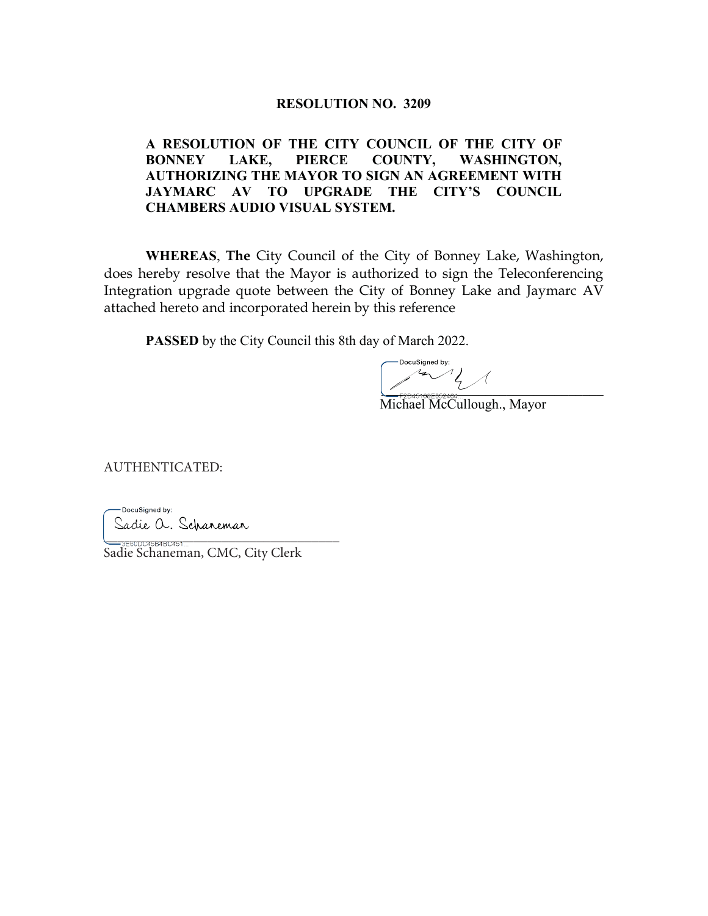## **RESOLUTION NO. 3209**

## **A RESOLUTION OF THE CITY COUNCIL OF THE CITY OF BONNEY LAKE, PIERCE COUNTY, WASHINGTON, AUTHORIZING THE MAYOR TO SIGN AN AGREEMENT WITH JAYMARC AV TO UPGRADE THE CITY'S COUNCIL CHAMBERS AUDIO VISUAL SYSTEM.**

**WHEREAS**, **The** City Council of the City of Bonney Lake, Washington, does hereby resolve that the Mayor is authorized to sign the Teleconferencing Integration upgrade quote between the City of Bonney Lake and Jaymarc AV attached hereto and incorporated herein by this reference

**PASSED** by the City Council this 8th day of March 2022.

DocuSianed by:  $\sim$ 

Michael McCullough., Mayor

AUTHENTICATED:

-DocuSigned by: Sadie a. Scharemar @@@@@@@@@@@@@@@@@@@@@@@@@@@@@@@@@@

Sadie Schaneman, CMC, City Clerk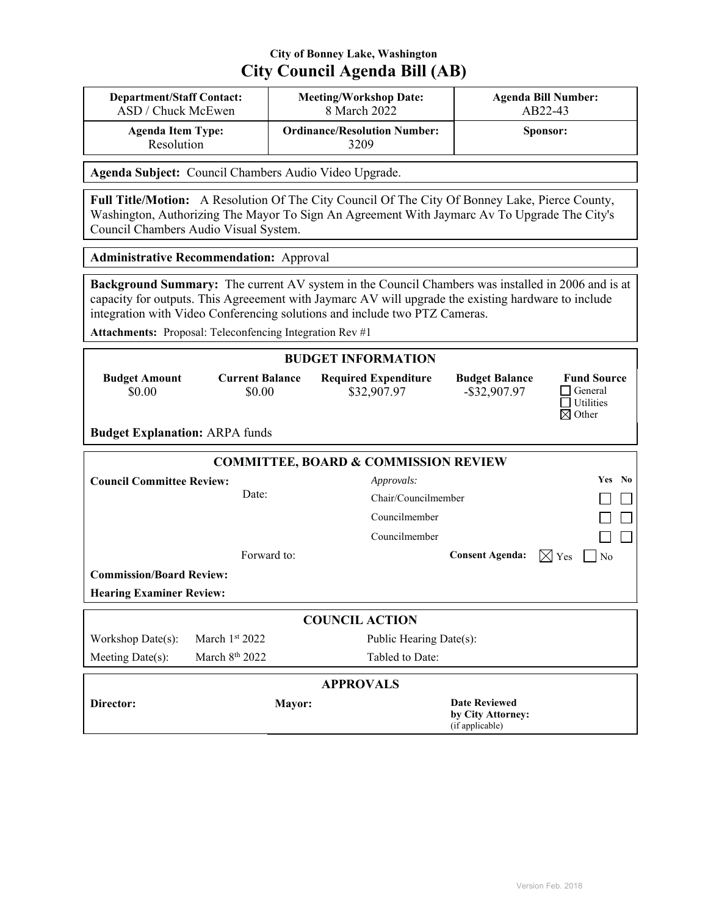## **City of Bonney Lake, Washington City Council Agenda Bill (AB)**

| <b>Department/Staff Contact:</b>       | <b>Meeting/Workshop Date:</b>               | <b>Agenda Bill Number:</b> |
|----------------------------------------|---------------------------------------------|----------------------------|
| ASD / Chuck McEwen                     | 8 March 2022                                | AB22-43                    |
| <b>Agenda Item Type:</b><br>Resolution | <b>Ordinance/Resolution Number:</b><br>3209 | Sponsor:                   |

**Agenda Subject:** Council Chambers Audio Video Upgrade.

**Full Title/Motion:** A Resolution Of The City Council Of The City Of Bonney Lake, Pierce County, Washington, Authorizing The Mayor To Sign An Agreement With Jaymarc Av To Upgrade The City's Council Chambers Audio Visual System.

**Administrative Recommendation:** Approval

**Background Summary:** The current AV system in the Council Chambers was installed in 2006 and is at capacity for outputs. This Agreeement with Jaymarc AV will upgrade the existing hardware to include integration with Video Conferencing solutions and include two PTZ Cameras.

**Attachments:** Proposal: Teleconfencing Integration Rev #1

| <b>BUDGET INFORMATION</b>             |                                  |                                                 |                                                              |                                                                 |  |
|---------------------------------------|----------------------------------|-------------------------------------------------|--------------------------------------------------------------|-----------------------------------------------------------------|--|
| <b>Budget Amount</b><br>\$0.00        | <b>Current Balance</b><br>\$0.00 | <b>Required Expenditure</b><br>\$32,907.97      | <b>Budget Balance</b><br>$-$ \$32,907.97                     | <b>Fund Source</b><br>General<br><b>Utilities</b><br>Other<br>⊠ |  |
| <b>Budget Explanation: ARPA funds</b> |                                  |                                                 |                                                              |                                                                 |  |
|                                       |                                  | <b>COMMITTEE, BOARD &amp; COMMISSION REVIEW</b> |                                                              |                                                                 |  |
| <b>Council Committee Review:</b>      |                                  | Approvals:                                      |                                                              | <b>Yes</b><br>No                                                |  |
|                                       | Date:                            | Chair/Councilmember                             |                                                              |                                                                 |  |
|                                       |                                  | Councilmember                                   |                                                              |                                                                 |  |
|                                       |                                  | Councilmember                                   |                                                              |                                                                 |  |
|                                       | Forward to:                      |                                                 | <b>Consent Agenda:</b>                                       | $\boxtimes$ Yes<br>$\overline{N}$                               |  |
| <b>Commission/Board Review:</b>       |                                  |                                                 |                                                              |                                                                 |  |
| <b>Hearing Examiner Review:</b>       |                                  |                                                 |                                                              |                                                                 |  |
|                                       |                                  | <b>COUNCIL ACTION</b>                           |                                                              |                                                                 |  |
| Workshop Date(s):                     | March $1st 2022$                 | Public Hearing Date(s):                         |                                                              |                                                                 |  |
| Meeting Date(s):                      | March $8th 2022$                 | Tabled to Date:                                 |                                                              |                                                                 |  |
| <b>APPROVALS</b>                      |                                  |                                                 |                                                              |                                                                 |  |
| Director:                             | Mayor:                           |                                                 | <b>Date Reviewed</b><br>by City Attorney:<br>(if applicable) |                                                                 |  |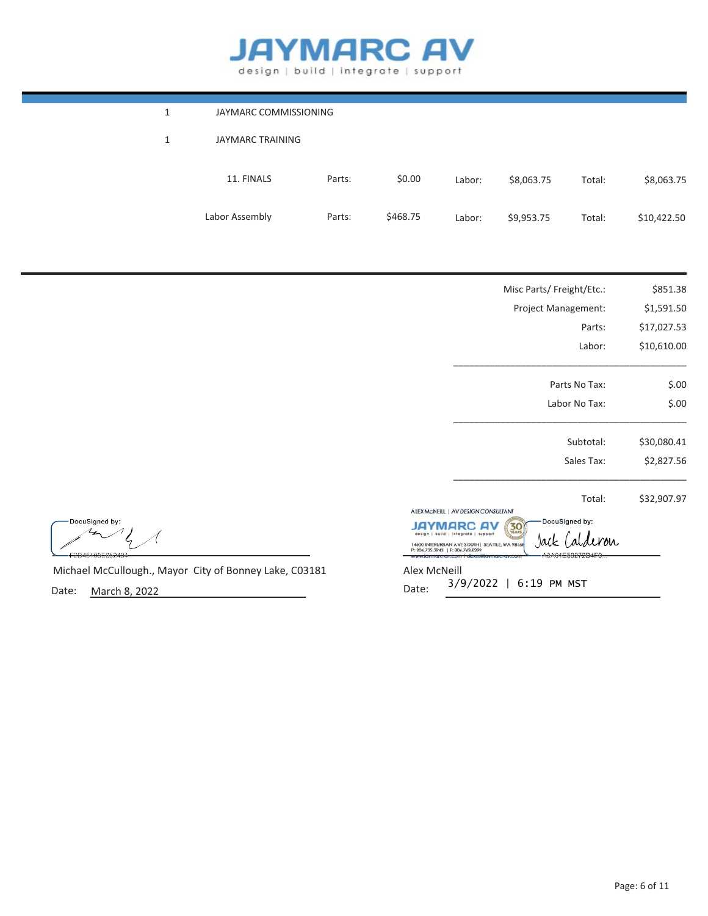## **JAYMARC AV** design | build | integrate | support

| 1 | JAYMARC COMMISSIONING |        |          |        |            |        |             |
|---|-----------------------|--------|----------|--------|------------|--------|-------------|
| 1 | JAYMARC TRAINING      |        |          |        |            |        |             |
|   | 11. FINALS            | Parts: | \$0.00   | Labor: | \$8,063.75 | Total: | \$8,063.75  |
|   | Labor Assembly        | Parts: | \$468.75 | Labor: | \$9,953.75 | Total: | \$10,422.50 |
|   |                       |        |          |        |            |        |             |

|                                                        | Misc Parts/ Freight/Etc.:                                                                                                                                                                                 | \$851.38    |
|--------------------------------------------------------|-----------------------------------------------------------------------------------------------------------------------------------------------------------------------------------------------------------|-------------|
|                                                        | Project Management:                                                                                                                                                                                       | \$1,591.50  |
|                                                        | Parts:                                                                                                                                                                                                    | \$17,027.53 |
|                                                        | Labor:                                                                                                                                                                                                    | \$10,610.00 |
|                                                        | Parts No Tax:                                                                                                                                                                                             | \$.00       |
|                                                        | Labor No Tax:                                                                                                                                                                                             | \$.00       |
|                                                        | Subtotal:                                                                                                                                                                                                 | \$30,080.41 |
|                                                        | Sales Tax:                                                                                                                                                                                                | \$2,827.56  |
|                                                        | Total:                                                                                                                                                                                                    | \$32,907.97 |
| DocuSigned by:<br>2D45100E052404                       | ALEX MCNEILL   AV DESIGN CONSULTANT<br>DocuSigned by:<br>30<br>build   Integrate   support<br>'W<br>14600 INTERURBAN AVESOUTH   SEATTLE, WA 98168<br>P: 206.735.3943   F: 206.763.8299<br>A3A04E59272D4F9 |             |
| Michael McCullough., Mayor City of Bonney Lake, C03181 | Alex McNeill                                                                                                                                                                                              |             |

Date: March 8, 2022

Alex McNeill Date: 9/2022 | 6:19 PM MST